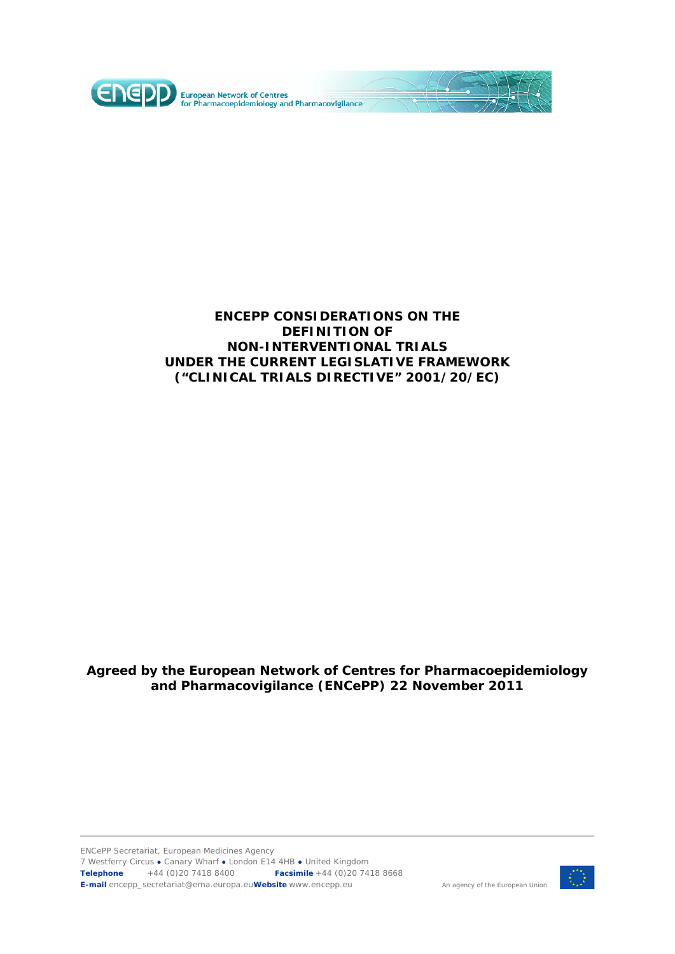

### **ENCEPP CONSIDERATIONS ON THE DEFINITION OF NON-INTERVENTIONAL TRIALS UNDER THE CURRENT LEGISLATIVE FRAMEWORK ("CLINICAL TRIALS DIRECTIVE" 2001/20/EC)**

## **Agreed by the European Network of Centres for Pharmacoepidemiology and Pharmacovigilance (ENCePP) 22 November 2011**

ENCePP Secretariat, European Medicines Agency 7 Westferry Circus **●** Canary Wharf **●** London E14 4HB **●** United Kingdom **Telephone** +44 (0)20 7418 8400 **Facsimile** +44 (0)20 7418 8668 **E-mail** encepp\_secretariat@ema.europa.eu**Website** www.encepp.eu



An agency of the European Union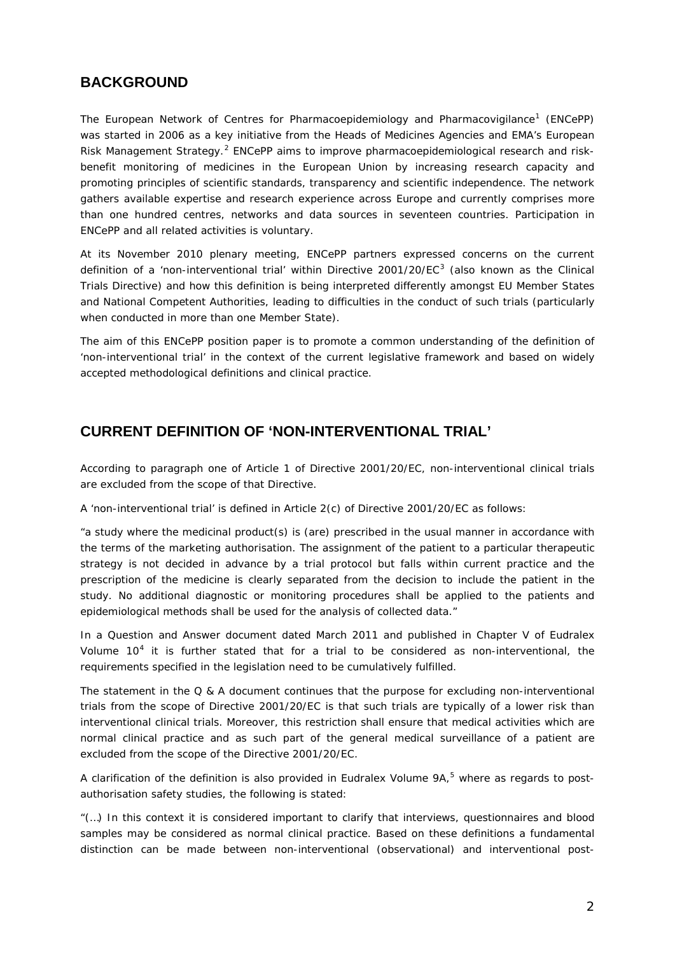## **BACKGROUND**

The European Network of Centres for Pharmacoepidemiology and Pharmacovigilance<sup>[1](#page-6-0)</sup> (ENCePP) was started in 2006 as a key initiative from the Heads of Medicines Agencies and EMA's European Risk Management Strategy.<sup>[2](#page-6-1)</sup> ENCePP aims to improve pharmacoepidemiological research and riskbenefit monitoring of medicines in the European Union by increasing research capacity and promoting principles of scientific standards, transparency and scientific independence. The network gathers available expertise and research experience across Europe and currently comprises more than one hundred centres, networks and data sources in seventeen countries. Participation in ENCePP and all related activities is voluntary.

At its November 2010 plenary meeting, ENCePP partners expressed concerns on the current definition of a 'non-interventional trial' within Directive 2001/20/EC<sup>[3](#page-6-2)</sup> (also known as the Clinical Trials Directive) and how this definition is being interpreted differently amongst EU Member States and National Competent Authorities, leading to difficulties in the conduct of such trials (particularly when conducted in more than one Member State).

The aim of this ENCePP position paper is to promote a common understanding of the definition of 'non-interventional trial' in the context of the current legislative framework and based on widely accepted methodological definitions and clinical practice.

# **CURRENT DEFINITION OF 'NON-INTERVENTIONAL TRIAL'**

According to paragraph one of Article 1 of Directive 2001/20/EC, non-interventional clinical trials are excluded from the scope of that Directive.

A 'non-interventional trial' is defined in Article 2(c) of Directive 2001/20/EC as follows:

*"a study where the medicinal product(s) is (are) prescribed in the usual manner in accordance with the terms of the marketing authorisation. The assignment of the patient to a particular therapeutic strategy is not decided in advance by a trial protocol but falls within current practice and the prescription of the medicine is clearly separated from the decision to include the patient in the study. No additional diagnostic or monitoring procedures shall be applied to the patients and epidemiological methods shall be used for the analysis of collected data."*

In a Question and Answer document dated March 2011 and published in Chapter V of Eudralex Volume  $10<sup>4</sup>$  $10<sup>4</sup>$  $10<sup>4</sup>$  it is further stated that for a trial to be considered as non-interventional, the requirements specified in the legislation need to be cumulatively fulfilled.

The statement in the  $Q \& A$  document continues that the purpose for excluding non-interventional trials from the scope of Directive 2001/20/EC is that such trials are typically of a lower risk than interventional clinical trials. Moreover, this restriction shall ensure that medical activities which are *normal clinical practice* and as such part of the general medical surveillance of a patient are excluded from the scope of the Directive 2001/20/EC.

A clarification of the definition is also provided in Eudralex Volume 9A,<sup>[5](#page-6-4)</sup> where as regards to postauthorisation safety studies, the following is stated:

*"(…) In this context it is considered important to clarify that interviews, questionnaires and blood*  samples may be considered as normal clinical practice. Based on these definitions a fundamental *distinction can be made between non-interventional (observational) and interventional post-*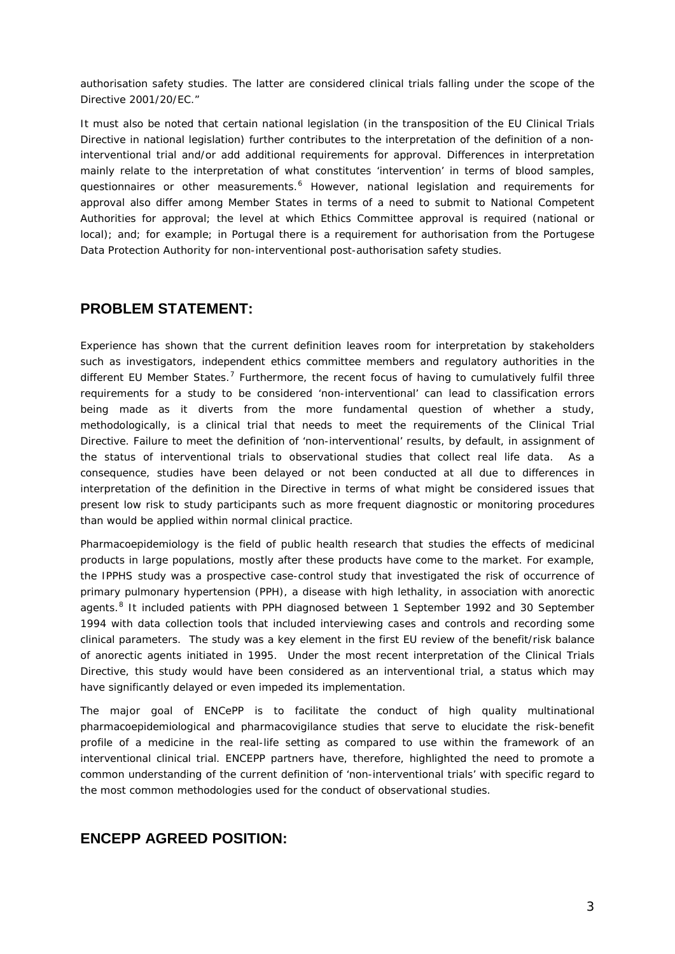*authorisation safety studies. The latter are considered clinical trials falling under the scope of the Directive 2001/20/EC."*

It must also be noted that certain national legislation (in the transposition of the EU Clinical Trials Directive in national legislation) further contributes to the interpretation of the definition of a noninterventional trial and/or add additional requirements for approval. Differences in interpretation mainly relate to the interpretation of what constitutes 'intervention' in terms of blood samples, questionnaires or other measurements. [6](#page-7-0) However, national legislation and requirements for approval also differ among Member States in terms of a need to submit to National Competent Authorities for approval; the level at which Ethics Committee approval is required (national or local); and; for example; in Portugal there is a requirement for authorisation from the Portugese Data Protection Authority for non-interventional post-authorisation safety studies.

## **PROBLEM STATEMENT:**

Experience has shown that the current definition leaves room for interpretation by stakeholders such as investigators, independent ethics committee members and regulatory authorities in the different EU Member States.<sup>[7](#page-7-1)</sup> Furthermore, the recent focus of having to cumulatively fulfil three requirements for a study to be considered 'non-interventional' can lead to classification errors being made as it diverts from the more fundamental question of whether a study, methodologically, is a clinical trial that needs to meet the requirements of the Clinical Trial Directive. Failure to meet the definition of 'non-interventional' results, by default, in assignment of the status of interventional trials to observational studies that collect real life data. As a consequence, studies have been delayed or not been conducted at all due to differences in interpretation of the definition in the Directive in terms of what might be considered issues that present low risk to study participants such as more frequent diagnostic or monitoring procedures than would be applied within normal clinical practice.

Pharmacoepidemiology is the field of public health research that studies the effects of medicinal products in large populations, mostly after these products have come to the market. For example, the IPPHS study was a prospective case-control study that investigated the risk of occurrence of primary pulmonary hypertension (PPH), a disease with high lethality, in association with anorectic agents.<sup>[8](#page-7-2)</sup> It included patients with PPH diagnosed between 1 September 1992 and 30 September 1994 with data collection tools that included interviewing cases and controls and recording some clinical parameters. The study was a key element in the first EU review of the benefit/risk balance of anorectic agents initiated in 1995. Under the most recent interpretation of the Clinical Trials Directive, this study would have been considered as an interventional trial, a status which may have significantly delayed or even impeded its implementation.

The major goal of ENCePP is to facilitate the conduct of high quality multinational pharmacoepidemiological and pharmacovigilance studies that serve to elucidate the risk-benefit profile of a medicine in the real-life setting as compared to use within the framework of an interventional clinical trial. ENCEPP partners have, therefore, highlighted the need to promote a common understanding of the current definition of 'non-interventional trials' with specific regard to the most common methodologies used for the conduct of observational studies.

## **ENCEPP AGREED POSITION:**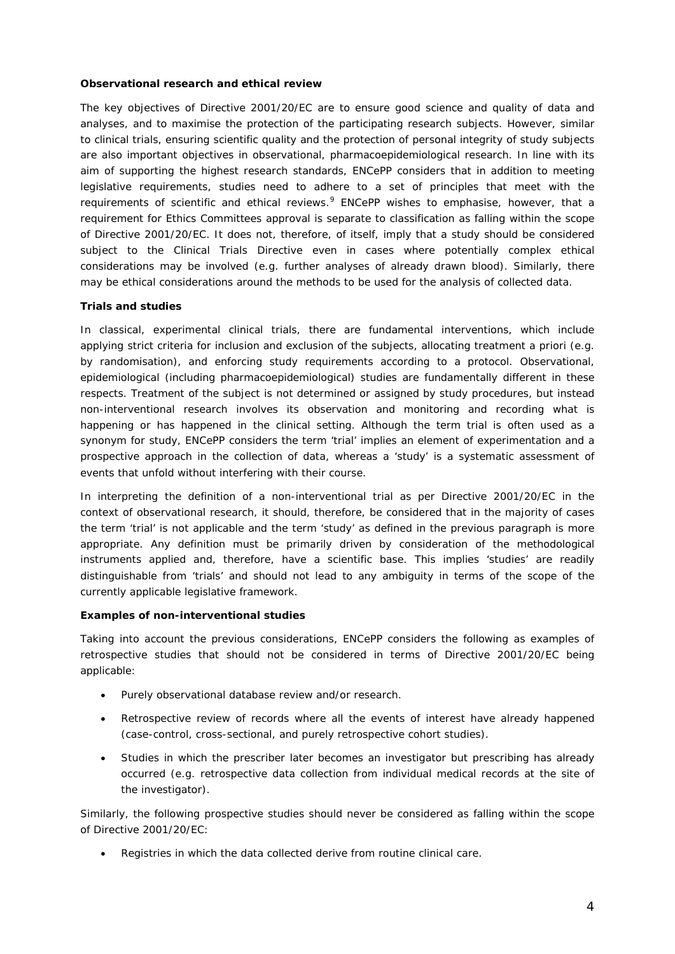#### **Observational research and ethical review**

The key objectives of Directive 2001/20/EC are to ensure good science and quality of data and analyses, and to maximise the protection of the participating research subjects. However, similar to clinical trials, ensuring scientific quality and the protection of personal integrity of study subjects are also important objectives in observational, pharmacoepidemiological research. In line with its aim of supporting the highest research standards, ENCePP considers that in addition to meeting legislative requirements, studies need to adhere to a set of principles that meet with the requirements of scientific and ethical reviews.<sup>[9](#page-8-0)</sup> ENCePP wishes to emphasise, however, that a requirement for Ethics Committees approval is separate to classification as falling within the scope of Directive 2001/20/EC. It does not, therefore, of itself, imply that a study should be considered subject to the Clinical Trials Directive even in cases where potentially complex ethical considerations may be involved (e.g. further analyses of already drawn blood). Similarly, there may be ethical considerations around the methods to be used for the analysis of collected data.

#### **Trials and studies**

In classical, experimental clinical trials, there are fundamental interventions, which include applying strict criteria for inclusion and exclusion of the subjects, allocating treatment *a priori (e.g.*  by randomisation), and enforcing study requirements according to a protocol. Observational, epidemiological (including pharmacoepidemiological) studies are fundamentally different in these respects. Treatment of the subject is not *determined* or *assigned* by study procedures, but instead non-interventional research involves its *observation and monitoring* and recording what is happening or has happened in the clinical setting. Although the term trial is often used as a synonym for study, ENCePP considers the term 'trial' implies an element of experimentation and a prospective approach in the collection of data, whereas a 'study' is a systematic assessment of events that unfold without interfering with their course.

In interpreting the definition of a non-interventional trial as per Directive 2001/20/EC in the context of observational research, it should, therefore, be considered that in the majority of cases the term 'trial' is not applicable and the term 'study' as defined in the previous paragraph is more appropriate. Any definition must be primarily driven by consideration of the methodological instruments applied and, therefore, have a scientific base. This implies 'studies' are readily distinguishable from 'trials' and should not lead to any ambiguity in terms of the scope of the currently applicable legislative framework.

#### **Examples of non-interventional studies**

Taking into account the previous considerations, ENCePP considers the following as examples of retrospective studies that should not be considered in terms of Directive 2001/20/EC being applicable:

- Purely observational database review and/or research.
- Retrospective review of records where all the events of interest have already happened (case-control, cross-sectional, and purely retrospective cohort studies).
- Studies in which the prescriber later becomes an investigator but prescribing has already occurred (e.g. retrospective data collection from individual medical records at the site of the investigator).

Similarly, the following prospective studies should never be considered as falling within the scope of Directive 2001/20/EC:

• Registries in which the data collected derive from routine clinical care.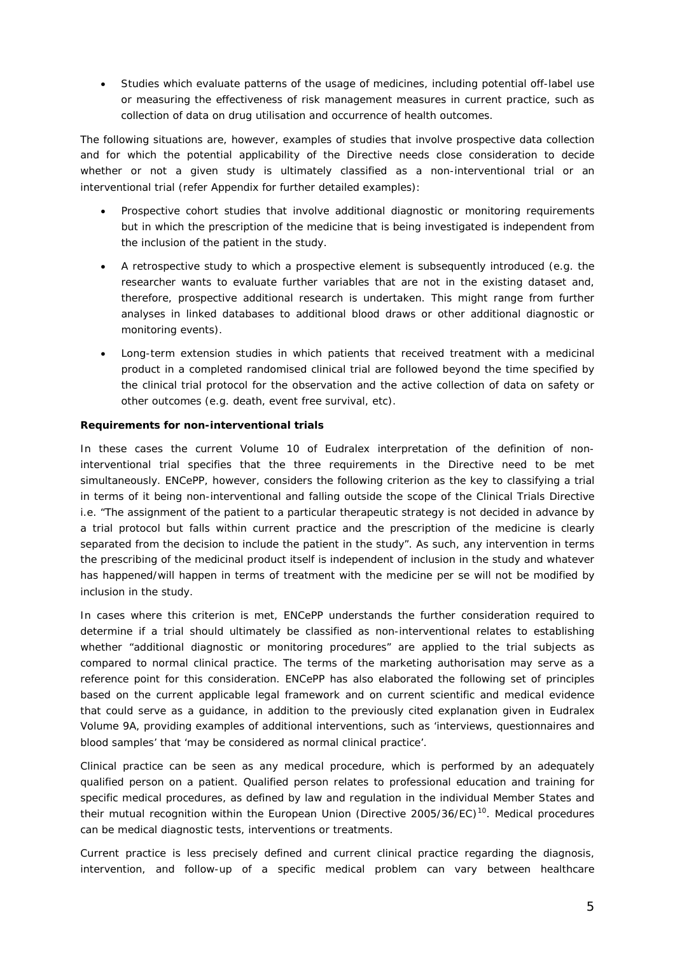• Studies which evaluate patterns of the usage of medicines, including potential off-label use or measuring the effectiveness of risk management measures in current practice, such as collection of data on drug utilisation and occurrence of health outcomes.

The following situations are, however, examples of studies that involve prospective data collection and for which the potential applicability of the Directive needs close consideration to decide whether or not a given study is ultimately classified as a non-interventional trial or an interventional trial (refer Appendix for further detailed examples):

- Prospective cohort studies that involve additional diagnostic or monitoring requirements but in which the prescription of the medicine that is being investigated is independent from the inclusion of the patient in the study.
- A retrospective study to which a prospective element is subsequently introduced (e.g. the researcher wants to evaluate further variables that are not in the existing dataset and, therefore, prospective additional research is undertaken. This might range from further analyses in linked databases to additional blood draws or other additional diagnostic or monitoring events).
- Long-term extension studies in which patients that received treatment with a medicinal product in a completed randomised clinical trial are followed beyond the time specified by the clinical trial protocol for the observation and the active collection of data on safety or other outcomes (e.g. death, event free survival, etc).

#### **Requirements for non-interventional trials**

In these cases the current Volume 10 of Eudralex interpretation of the definition of noninterventional trial specifies that the three requirements in the Directive need to be met simultaneously. ENCePP, however, considers the following criterion as the key to classifying a trial in terms of it being non-interventional and falling outside the scope of the Clinical Trials Directive i.e. "*The assignment of the patient to a particular therapeutic strategy is not decided in advance by a trial protocol but falls within current practice and the prescription of the medicine is clearly*  separated from the decision to include the patient in the study". As such, any intervention in terms the prescribing of the medicinal product itself is independent of inclusion in the study and whatever has happened/will happen in terms of treatment with the medicine *per se* will not be modified by inclusion in the study.

In cases where this criterion is met, ENCePP understands the further consideration required to determine if a trial should ultimately be classified as non-interventional relates to establishing whether "*additional diagnostic or monitoring procedures*" are applied to the trial subjects as compared to normal clinical practice. The terms of the marketing authorisation may serve as a reference point for this consideration. ENCePP has also elaborated the following set of principles based on the current applicable legal framework and on current scientific and medical evidence that could serve as a guidance, in addition to the previously cited explanation given in Eudralex Volume 9A, providing examples of additional interventions, such as '*interviews, questionnaires and blood samples'* that '*may be considered as normal clinical practice'*.

*Clinical practice* can be seen as any medical procedure, which is performed by an adequately qualified person on a patient. *Qualified person* relates to professional education and training for specific medical procedures, as defined by law and regulation in the individual Member States and their mutual recognition within the European Union (Directive 2005/36/EC)[10](#page-8-1). *Medical procedures* can be medical diagnostic tests, interventions or treatments.

*Current practice* is less precisely defined and current clinical practice regarding the diagnosis, intervention, and follow-up of a specific medical problem can vary between healthcare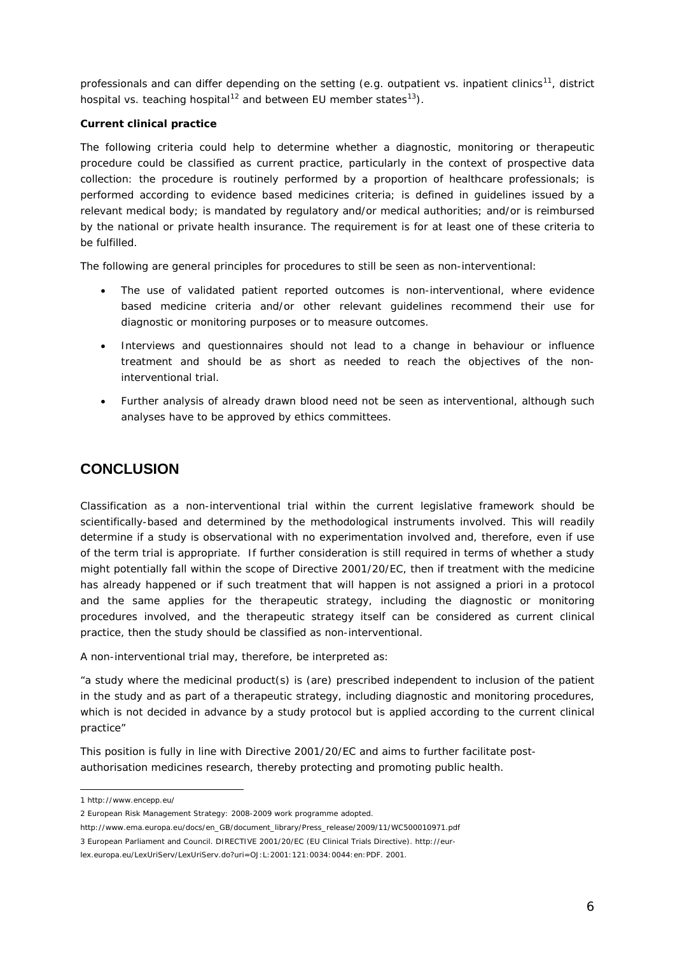professionals and can differ depending on the setting (e.g. outpatient vs. inpatient clinics<sup>11</sup>, district hospital vs. teaching hospital<sup>[12](#page-9-1)</sup> and between EU member states<sup>[13](#page-9-2)</sup>).

#### **Current clinical practice**

The following criteria could help to determine whether a diagnostic, monitoring or therapeutic procedure could be classified as current practice, particularly in the context of prospective data collection: the procedure is routinely performed by a proportion of healthcare professionals; is performed according to evidence based medicines criteria; is defined in guidelines issued by a relevant medical body; is mandated by regulatory and/or medical authorities; and/or is reimbursed by the national or private health insurance. The requirement is for at least one of these criteria to be fulfilled.

The following are general principles for procedures to still be seen as non-interventional:

- The use of validated patient reported outcomes is non-interventional, where evidence based medicine criteria and/or other relevant guidelines recommend their use for diagnostic or monitoring purposes or to measure outcomes.
- Interviews and questionnaires should not lead to a change in behaviour or influence treatment and should be as short as needed to reach the objectives of the noninterventional trial.
- Further analysis of already drawn blood need not be seen as interventional, although such analyses have to be approved by ethics committees.

# **CONCLUSION**

Classification as a non-interventional trial within the current legislative framework should be scientifically-based and determined by the methodological instruments involved. This will readily determine if a study is observational with no experimentation involved and, therefore, even if use of the term trial is appropriate. If further consideration is still required in terms of whether a study might potentially fall within the scope of Directive 2001/20/EC, then if treatment with the medicine has already happened or if such treatment that will happen is not assigned *a priori* in a protocol and the same applies for the therapeutic strategy, including the diagnostic or monitoring procedures involved, and the therapeutic strategy itself can be considered as current clinical practice, then the study should be classified as non-interventional.

A non-interventional trial may, therefore, be interpreted as:

*"a study where the medicinal product(s) is (are) prescribed independent to inclusion of the patient in the study and as part of a therapeutic strategy, including diagnostic and monitoring procedures, which is not decided in advance by a study protocol but is applied according to the current clinical practice"*

This position is fully in line with Directive 2001/20/EC and aims to further facilitate postauthorisation medicines research, thereby protecting and promoting public health.

 1 http://www.encepp.eu/

<sup>2</sup> European Risk Management Strategy: 2008-2009 work programme adopted.

[http://www.ema.europa.eu/docs/en\\_GB/document\\_library/Press\\_release/2009/11/WC500010971.pdf](http://www.ema.europa.eu/docs/en_GB/document_library/Press_release/2009/11/WC500010971.pdf)

<sup>3</sup> European Parliament and Council. DIRECTIVE 2001/20/EC (EU Clinical Trials Directive)[. http://eur-](http://eur-lex.europa.eu/LexUriServ/LexUriServ.do?uri=OJ:L:2001:121:0034:0044:en:PDF)

[lex.europa.eu/LexUriServ/LexUriServ.do?uri=OJ:L:2001:121:0034:0044:en:PDF.](http://eur-lex.europa.eu/LexUriServ/LexUriServ.do?uri=OJ:L:2001:121:0034:0044:en:PDF) 2001.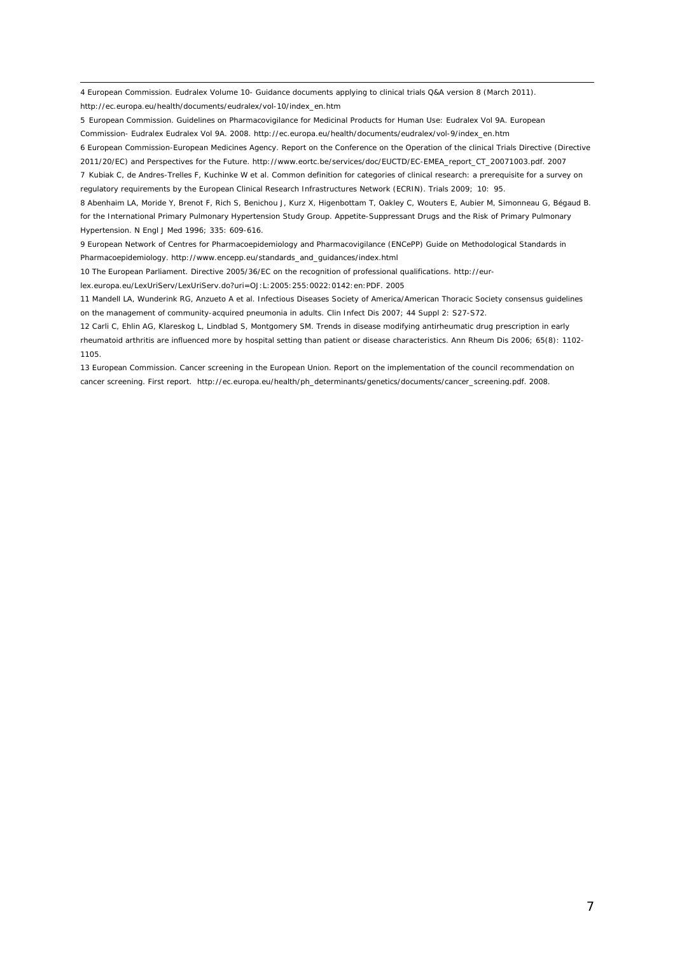<span id="page-6-3"></span> 4 European Commission. Eudralex Volume 10- Guidance documents applying to clinical trials Q&A version 8 (March 2011). http://ec.europa.eu/health/documents/eudralex/vol-10/index\_en.htm

<span id="page-6-4"></span>5 European Commission. Guidelines on Pharmacovigilance for Medicinal Products for Human Use: Eudralex Vol 9A. European Commission- Eudralex Eudralex Vol 9A. 2008. [http://ec.europa.eu/health/documents/eudralex/vol-9/index\\_en.htm](http://ec.europa.eu/health/documents/eudralex/vol-9/index_en.htm) 

6 European Commission-European Medicines Agency. Report on the Conference on the Operation of the clinical Trials Directive (Directive

2011/20/EC) and Perspectives for the Future. [http://www.eortc.be/services/doc/EUCTD/EC-EMEA\\_report\\_CT\\_20071003.pdf.](http://www.eortc.be/services/doc/EUCTD/EC-EMEA_report_CT_20071003.pdf) 2007 7 Kubiak C, de Andres-Trelles F, Kuchinke W et al. Common definition for categories of clinical research: a prerequisite for a survey on regulatory requirements by the European Clinical Research Infrastructures Network (ECRIN). Trials 2009; 10: 95.

8 Abenhaim LA, Moride Y, Brenot F, Rich S, Benichou J, Kurz X, Higenbottam T, Oakley C, Wouters E, Aubier M, Simonneau G, Bégaud B. for the International Primary Pulmonary Hypertension Study Group. Appetite-Suppressant Drugs and the Risk of Primary Pulmonary Hypertension. N Engl J Med 1996; 335: 609-616.

9 European Network of Centres for Pharmacoepidemiology and Pharmacovigilance (ENCePP) Guide on Methodological Standards in Pharmacoepidemiology. http://www.encepp.eu/standards\_and\_guidances/index.html

10 The European Parliament. Directive 2005/36/EC on the recognition of professional qualifications[. http://eur-](http://eur-lex.europa.eu/LexUriServ/LexUriServ.do?uri=OJ:L:2005:255:0022:0142:en:PDF)

[lex.europa.eu/LexUriServ/LexUriServ.do?uri=OJ:L:2005:255:0022:0142:en:PDF.](http://eur-lex.europa.eu/LexUriServ/LexUriServ.do?uri=OJ:L:2005:255:0022:0142:en:PDF) 2005

11 Mandell LA, Wunderink RG, Anzueto A et al. Infectious Diseases Society of America/American Thoracic Society consensus guidelines on the management of community-acquired pneumonia in adults. Clin Infect Dis 2007; 44 Suppl 2: S27-S72.

12 Carli C, Ehlin AG, Klareskog L, Lindblad S, Montgomery SM. Trends in disease modifying antirheumatic drug prescription in early rheumatoid arthritis are influenced more by hospital setting than patient or disease characteristics. Ann Rheum Dis 2006; 65(8): 1102- 1105.

<span id="page-6-2"></span><span id="page-6-1"></span><span id="page-6-0"></span>13 European Commission. Cancer screening in the European Union. Report on the implementation of the council recommendation on cancer screening. First report. [http://ec.europa.eu/health/ph\\_determinants/genetics/documents/cancer\\_screening.pdf.](http://ec.europa.eu/health/ph_determinants/genetics/documents/cancer_screening.pdf.) 2008.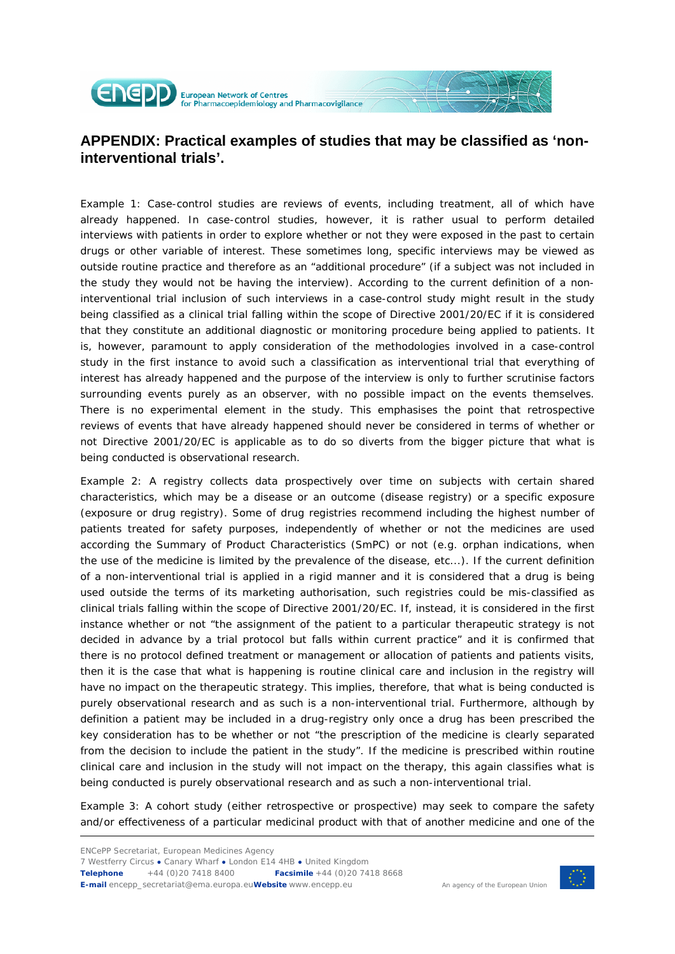

<span id="page-7-0"></span>**APPENDIX: Practical examples of studies that may be classified as 'noninterventional trials'.**

<span id="page-7-2"></span><span id="page-7-1"></span>Example 1: Case-control studies are reviews of events, including treatment, all of which have already happened. In case-control studies, however, it is rather usual to perform detailed interviews with patients in order to explore whether or not they were exposed in the past to certain drugs or other variable of interest. These sometimes long, specific interviews may be viewed as outside routine practice and therefore as an "additional procedure" (if a subject was not included in the study they would not be having the interview). According to the current definition of a noninterventional trial inclusion of such interviews in a case-control study might result in the study being classified as a clinical trial falling within the scope of Directive 2001/20/EC if it is considered that they constitute an additional diagnostic or monitoring procedure being applied to patients. It is, however, paramount to apply consideration of the methodologies involved in a case-control study in the first instance to avoid such a classification as interventional trial that everything of interest has already happened and the purpose of the interview is only to further scrutinise factors surrounding events purely as an observer, with no possible impact on the events themselves. There is no experimental element in the study. This emphasises the point that retrospective reviews of events that have already happened should never be considered in terms of whether or not Directive 2001/20/EC is applicable as to do so diverts from the bigger picture that what is being conducted is observational research.

Example 2: A registry collects data prospectively over time on subjects with certain shared characteristics, which may be a disease or an outcome (disease registry) or a specific exposure (exposure or drug registry). Some of drug registries recommend including the highest number of patients treated for safety purposes, independently of whether or not the medicines are used according the Summary of Product Characteristics (SmPC) or not (e.g. orphan indications, when the use of the medicine is limited by the prevalence of the disease, etc...). If the current definition of a non-interventional trial is applied in a rigid manner and it is considered that a drug is being used outside the terms of its marketing authorisation, such registries could be mis-classified as clinical trials falling within the scope of Directive 2001/20/EC. If, instead, it is considered in the first instance whether or not "*the assignment of the patient to a particular therapeutic strategy is not decided in advance by a trial protocol but falls within current practice"* and it is confirmed that there is no protocol defined treatment or management or allocation of patients and patients visits, then it is the case that what is happening is routine clinical care and inclusion in the registry will have no impact on the therapeutic strategy. This implies, therefore, that what is being conducted is purely observational research and as such is a non-interventional trial. Furthermore, although by definition a patient may be included in a drug-registry only once a drug has been prescribed the key consideration has to be whether or not "*the prescription of the medicine is clearly separated from the decision to include the patient in the study".* If the medicine is prescribed within routine clinical care and inclusion in the study will not impact on the therapy, this again classifies what is being conducted is purely observational research and as such a non-interventional trial.

Example 3: A cohort study (either retrospective or prospective) may seek to compare the safety and/or effectiveness of a particular medicinal product with that of another medicine and one of the



An agency of the European Union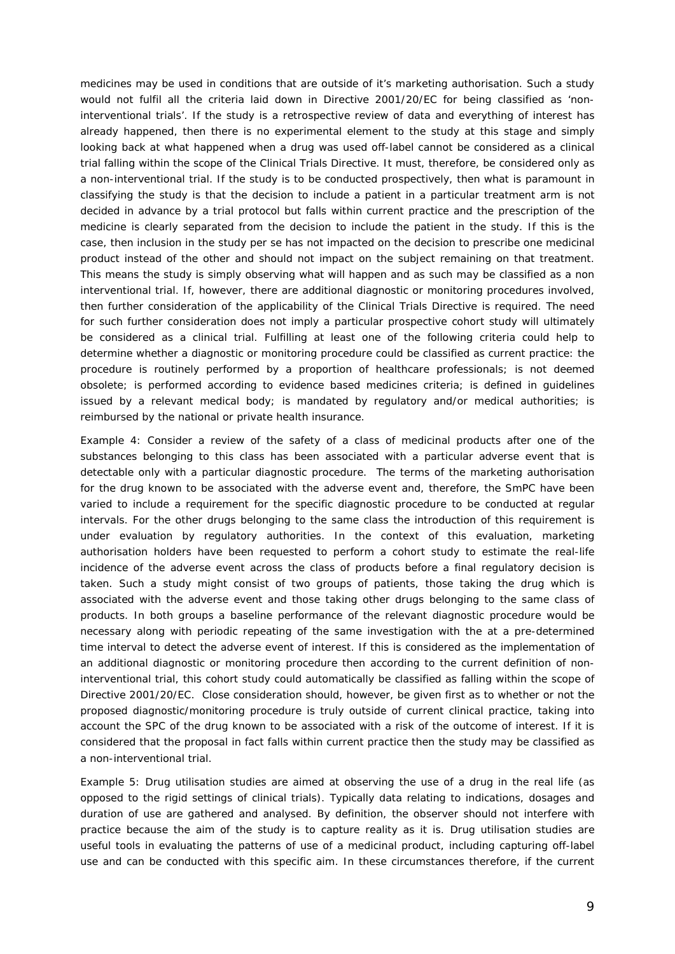<span id="page-8-0"></span>medicines may be used in conditions that are outside of it's marketing authorisation. Such a study would not fulfil all the criteria laid down in Directive 2001/20/EC for being classified as 'noninterventional trials'. If the study is a retrospective review of data and everything of interest has already happened, then there is no experimental element to the study at this stage and simply looking back at what happened when a drug was used off-label cannot be considered as a clinical trial falling within the scope of the Clinical Trials Directive. It must, therefore, be considered only as a non-interventional trial. If the study is to be conducted prospectively, then what is paramount in classifying the study is that the decision to include a patient in a particular treatment arm is not decided in advance by a trial protocol but falls within current practice and the prescription of the medicine is clearly separated from the decision to include the patient in the study. If this is the case, then inclusion in the study *per se* has not impacted on the decision to prescribe one medicinal product instead of the other and should not impact on the subject remaining on that treatment. This means the study is simply observing what will happen and as such may be classified as a non interventional trial. If, however, there are additional diagnostic or monitoring procedures involved, then further consideration of the applicability of the Clinical Trials Directive is required. The need for such further consideration does not imply a particular prospective cohort study will ultimately be considered as a clinical trial. Fulfilling at least one of the following criteria could help to determine whether a diagnostic or monitoring procedure could be classified as current practice: the procedure is routinely performed by a proportion of healthcare professionals; is not deemed obsolete; is performed according to evidence based medicines criteria; is defined in guidelines issued by a relevant medical body; is mandated by regulatory and/or medical authorities; is reimbursed by the national or private health insurance.

<span id="page-8-1"></span>Example 4: Consider a review of the safety of a class of medicinal products after one of the substances belonging to this class has been associated with a particular adverse event that is detectable only with a particular diagnostic procedure. The terms of the marketing authorisation for the drug known to be associated with the adverse event and, therefore, the SmPC have been varied to include a requirement for the specific diagnostic procedure to be conducted at regular intervals. For the other drugs belonging to the same class the introduction of this requirement is under evaluation by regulatory authorities. In the context of this evaluation, marketing authorisation holders have been requested to perform a cohort study to estimate the real-life incidence of the adverse event across the class of products before a final regulatory decision is taken. Such a study might consist of two groups of patients, those taking the drug which is associated with the adverse event and those taking other drugs belonging to the same class of products. In both groups a baseline performance of the relevant diagnostic procedure would be necessary along with periodic repeating of the same investigation with the at a pre-determined time interval to detect the adverse event of interest. If this is considered as the implementation of an additional diagnostic or monitoring procedure then according to the current definition of noninterventional trial, this cohort study could automatically be classified as falling within the scope of Directive 2001/20/EC. Close consideration should, however, be given first as to whether or not the proposed diagnostic/monitoring procedure is truly outside of current clinical practice, taking into account the SPC of the drug known to be associated with a risk of the outcome of interest. If it is considered that the proposal in fact falls within current practice then the study may be classified as a non-interventional trial.

Example 5: Drug utilisation studies are aimed at observing the use of a drug in the real life (as opposed to the rigid settings of clinical trials). Typically data relating to indications, dosages and duration of use are gathered and analysed. By definition, the observer should not interfere with practice because the aim of the study is to capture reality as it is. Drug utilisation studies are useful tools in evaluating the patterns of use of a medicinal product, including capturing off-label use and can be conducted with this specific aim. In these circumstances therefore, if the current